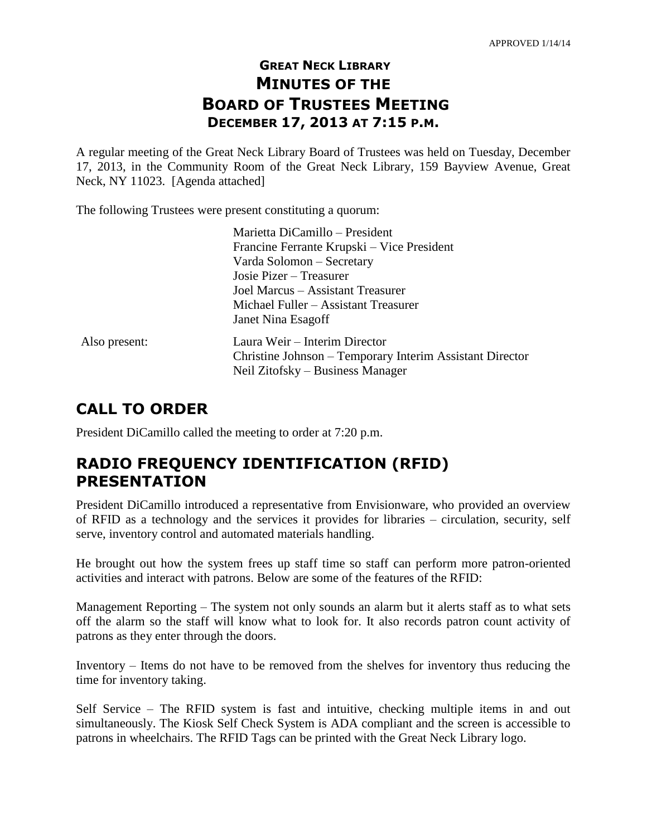# **GREAT NECK LIBRARY MINUTES OF THE BOARD OF TRUSTEES MEETING DECEMBER 17, 2013 AT 7:15 P.M.**

A regular meeting of the Great Neck Library Board of Trustees was held on Tuesday, December 17, 2013, in the Community Room of the Great Neck Library, 159 Bayview Avenue, Great Neck, NY 11023. [Agenda attached]

The following Trustees were present constituting a quorum:

|               | Marietta DiCamillo - President                           |
|---------------|----------------------------------------------------------|
|               | Francine Ferrante Krupski – Vice President               |
|               | Varda Solomon – Secretary                                |
|               | Josie Pizer – Treasurer                                  |
|               | Joel Marcus – Assistant Treasurer                        |
|               | Michael Fuller – Assistant Treasurer                     |
|               | Janet Nina Esagoff                                       |
| Also present: | Laura Weir – Interim Director                            |
|               | Christine Johnson - Temporary Interim Assistant Director |
|               | Neil Zitofsky – Business Manager                         |
|               |                                                          |

# **CALL TO ORDER**

President DiCamillo called the meeting to order at 7:20 p.m.

# **RADIO FREQUENCY IDENTIFICATION (RFID) PRESENTATION**

President DiCamillo introduced a representative from Envisionware, who provided an overview of RFID as a technology and the services it provides for libraries – circulation, security, self serve, inventory control and automated materials handling.

He brought out how the system frees up staff time so staff can perform more patron-oriented activities and interact with patrons. Below are some of the features of the RFID:

Management Reporting – The system not only sounds an alarm but it alerts staff as to what sets off the alarm so the staff will know what to look for. It also records patron count activity of patrons as they enter through the doors.

Inventory – Items do not have to be removed from the shelves for inventory thus reducing the time for inventory taking.

Self Service – The RFID system is fast and intuitive, checking multiple items in and out simultaneously. The Kiosk Self Check System is ADA compliant and the screen is accessible to patrons in wheelchairs. The RFID Tags can be printed with the Great Neck Library logo.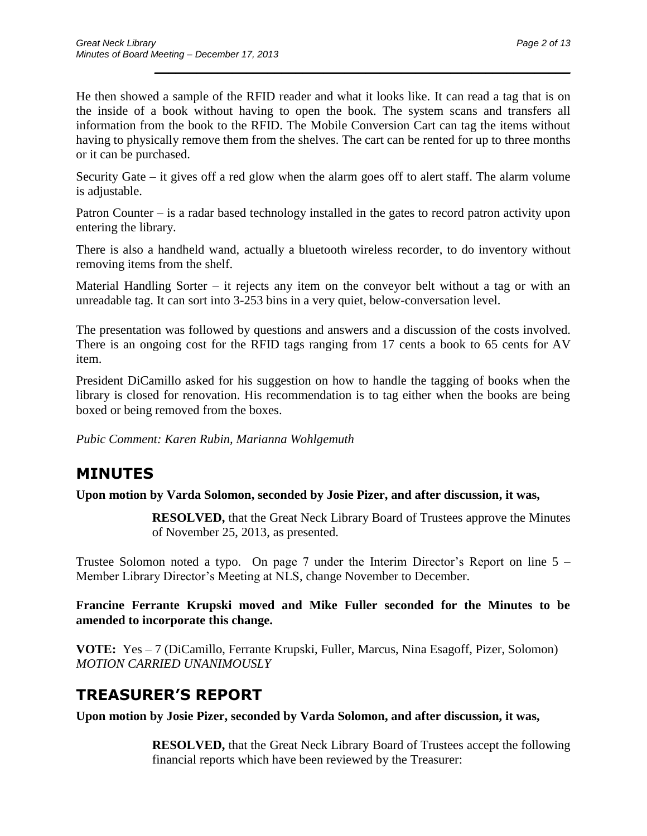He then showed a sample of the RFID reader and what it looks like. It can read a tag that is on the inside of a book without having to open the book. The system scans and transfers all information from the book to the RFID. The Mobile Conversion Cart can tag the items without having to physically remove them from the shelves. The cart can be rented for up to three months or it can be purchased.

 $\overline{\phantom{a}}$  , and the contract of the contract of the contract of the contract of the contract of the contract of the contract of the contract of the contract of the contract of the contract of the contract of the contrac

Security Gate – it gives off a red glow when the alarm goes off to alert staff. The alarm volume is adjustable.

Patron Counter – is a radar based technology installed in the gates to record patron activity upon entering the library.

There is also a handheld wand, actually a bluetooth wireless recorder, to do inventory without removing items from the shelf.

Material Handling Sorter – it rejects any item on the conveyor belt without a tag or with an unreadable tag. It can sort into 3-253 bins in a very quiet, below-conversation level.

The presentation was followed by questions and answers and a discussion of the costs involved. There is an ongoing cost for the RFID tags ranging from 17 cents a book to 65 cents for AV item.

President DiCamillo asked for his suggestion on how to handle the tagging of books when the library is closed for renovation. His recommendation is to tag either when the books are being boxed or being removed from the boxes.

*Pubic Comment: Karen Rubin, Marianna Wohlgemuth*

## **MINUTES**

**Upon motion by Varda Solomon, seconded by Josie Pizer, and after discussion, it was,**

**RESOLVED,** that the Great Neck Library Board of Trustees approve the Minutes of November 25, 2013, as presented.

Trustee Solomon noted a typo. On page 7 under the Interim Director's Report on line 5 – Member Library Director's Meeting at NLS, change November to December.

**Francine Ferrante Krupski moved and Mike Fuller seconded for the Minutes to be amended to incorporate this change.**

**VOTE:** Yes – 7 (DiCamillo, Ferrante Krupski, Fuller, Marcus, Nina Esagoff, Pizer, Solomon) *MOTION CARRIED UNANIMOUSLY*

# **TREASURER'S REPORT**

**Upon motion by Josie Pizer, seconded by Varda Solomon, and after discussion, it was,**

**RESOLVED,** that the Great Neck Library Board of Trustees accept the following financial reports which have been reviewed by the Treasurer: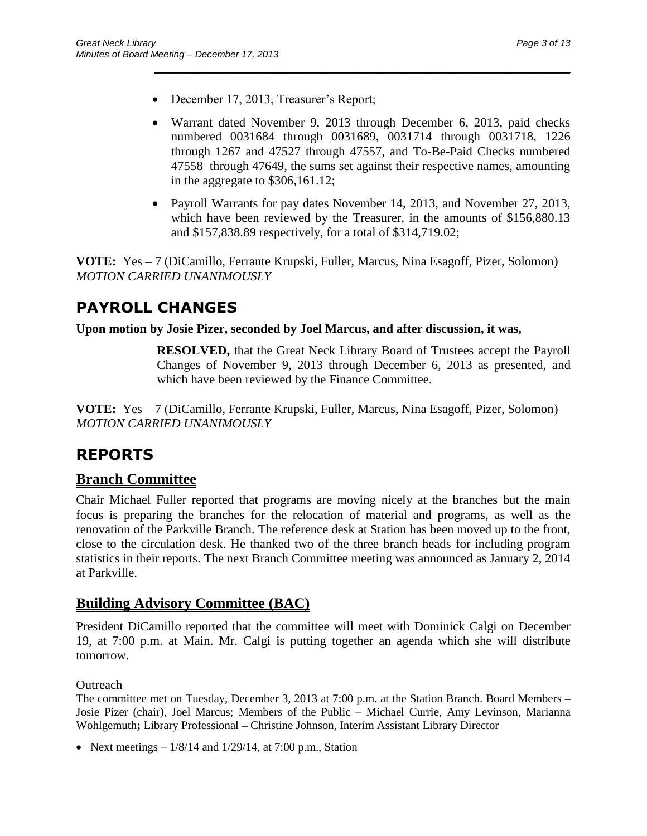- December 17, 2013, Treasurer's Report;
- Warrant dated November 9, 2013 through December 6, 2013, paid checks numbered 0031684 through 0031689, 0031714 through 0031718, 1226 through 1267 and 47527 through 47557, and To-Be-Paid Checks numbered 47558 through 47649, the sums set against their respective names, amounting in the aggregate to \$306,161.12;

 $\overline{\phantom{a}}$  , and the contract of the contract of the contract of the contract of the contract of the contract of the contract of the contract of the contract of the contract of the contract of the contract of the contrac

• Payroll Warrants for pay dates November 14, 2013, and November 27, 2013, which have been reviewed by the Treasurer, in the amounts of \$156,880.13 and \$157,838.89 respectively, for a total of \$314,719.02;

**VOTE:** Yes – 7 (DiCamillo, Ferrante Krupski, Fuller, Marcus, Nina Esagoff, Pizer, Solomon) *MOTION CARRIED UNANIMOUSLY*

# **PAYROLL CHANGES**

### **Upon motion by Josie Pizer, seconded by Joel Marcus, and after discussion, it was,**

**RESOLVED,** that the Great Neck Library Board of Trustees accept the Payroll Changes of November 9, 2013 through December 6, 2013 as presented, and which have been reviewed by the Finance Committee.

**VOTE:** Yes – 7 (DiCamillo, Ferrante Krupski, Fuller, Marcus, Nina Esagoff, Pizer, Solomon) *MOTION CARRIED UNANIMOUSLY*

# **REPORTS**

## **Branch Committee**

Chair Michael Fuller reported that programs are moving nicely at the branches but the main focus is preparing the branches for the relocation of material and programs, as well as the renovation of the Parkville Branch. The reference desk at Station has been moved up to the front, close to the circulation desk. He thanked two of the three branch heads for including program statistics in their reports. The next Branch Committee meeting was announced as January 2, 2014 at Parkville.

## **Building Advisory Committee (BAC)**

President DiCamillo reported that the committee will meet with Dominick Calgi on December 19, at 7:00 p.m. at Main. Mr. Calgi is putting together an agenda which she will distribute tomorrow.

## **Outreach**

The committee met on Tuesday, December 3, 2013 at 7:00 p.m. at the Station Branch. Board Members **–** Josie Pizer (chair), Joel Marcus; Members of the Public **–** Michael Currie, Amy Levinson, Marianna Wohlgemuth**;** Library Professional **–** Christine Johnson, Interim Assistant Library Director

• Next meetings  $-1/8/14$  and  $1/29/14$ , at 7:00 p.m., Station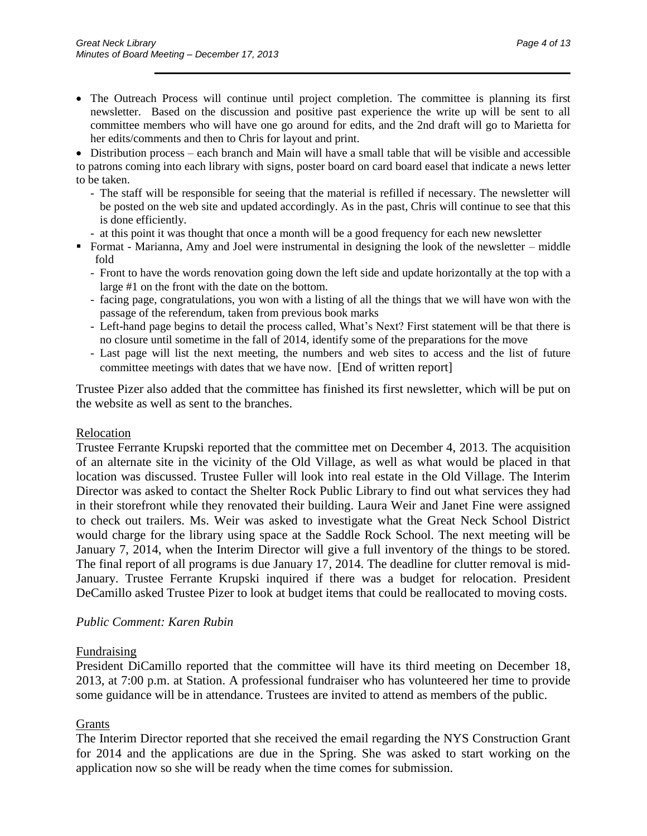• The Outreach Process will continue until project completion. The committee is planning its first newsletter. Based on the discussion and positive past experience the write up will be sent to all committee members who will have one go around for edits, and the 2nd draft will go to Marietta for her edits/comments and then to Chris for layout and print.

 $\overline{\phantom{a}}$  , and the contract of the contract of the contract of the contract of the contract of the contract of the contract of the contract of the contract of the contract of the contract of the contract of the contrac

 Distribution process – each branch and Main will have a small table that will be visible and accessible to patrons coming into each library with signs, poster board on card board easel that indicate a news letter to be taken.

- The staff will be responsible for seeing that the material is refilled if necessary. The newsletter will be posted on the web site and updated accordingly. As in the past, Chris will continue to see that this is done efficiently.
- at this point it was thought that once a month will be a good frequency for each new newsletter
- Format Marianna, Amy and Joel were instrumental in designing the look of the newsletter middle fold
	- Front to have the words renovation going down the left side and update horizontally at the top with a large #1 on the front with the date on the bottom.
	- facing page, congratulations, you won with a listing of all the things that we will have won with the passage of the referendum, taken from previous book marks
	- Left-hand page begins to detail the process called, What's Next? First statement will be that there is no closure until sometime in the fall of 2014, identify some of the preparations for the move
	- Last page will list the next meeting, the numbers and web sites to access and the list of future committee meetings with dates that we have now. [End of written report]

Trustee Pizer also added that the committee has finished its first newsletter, which will be put on the website as well as sent to the branches.

### Relocation

Trustee Ferrante Krupski reported that the committee met on December 4, 2013. The acquisition of an alternate site in the vicinity of the Old Village, as well as what would be placed in that location was discussed. Trustee Fuller will look into real estate in the Old Village. The Interim Director was asked to contact the Shelter Rock Public Library to find out what services they had in their storefront while they renovated their building. Laura Weir and Janet Fine were assigned to check out trailers. Ms. Weir was asked to investigate what the Great Neck School District would charge for the library using space at the Saddle Rock School. The next meeting will be January 7, 2014, when the Interim Director will give a full inventory of the things to be stored. The final report of all programs is due January 17, 2014. The deadline for clutter removal is mid-January. Trustee Ferrante Krupski inquired if there was a budget for relocation. President DeCamillo asked Trustee Pizer to look at budget items that could be reallocated to moving costs.

### *Public Comment: Karen Rubin*

#### Fundraising

President DiCamillo reported that the committee will have its third meeting on December 18, 2013, at 7:00 p.m. at Station. A professional fundraiser who has volunteered her time to provide some guidance will be in attendance. Trustees are invited to attend as members of the public.

### **Grants**

The Interim Director reported that she received the email regarding the NYS Construction Grant for 2014 and the applications are due in the Spring. She was asked to start working on the application now so she will be ready when the time comes for submission.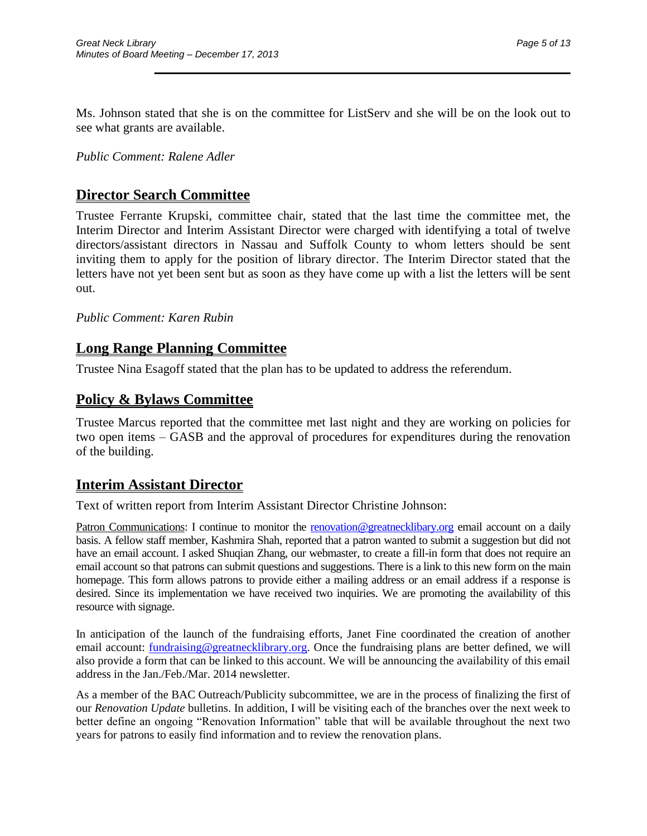Ms. Johnson stated that she is on the committee for ListServ and she will be on the look out to see what grants are available.

 $\overline{\phantom{a}}$  , and the contract of the contract of the contract of the contract of the contract of the contract of the contract of the contract of the contract of the contract of the contract of the contract of the contrac

*Public Comment: Ralene Adler*

## **Director Search Committee**

Trustee Ferrante Krupski, committee chair, stated that the last time the committee met, the Interim Director and Interim Assistant Director were charged with identifying a total of twelve directors/assistant directors in Nassau and Suffolk County to whom letters should be sent inviting them to apply for the position of library director. The Interim Director stated that the letters have not yet been sent but as soon as they have come up with a list the letters will be sent out.

*Public Comment: Karen Rubin*

## **Long Range Planning Committee**

Trustee Nina Esagoff stated that the plan has to be updated to address the referendum.

## **Policy & Bylaws Committee**

Trustee Marcus reported that the committee met last night and they are working on policies for two open items – GASB and the approval of procedures for expenditures during the renovation of the building.

## **Interim Assistant Director**

Text of written report from Interim Assistant Director Christine Johnson:

Patron Communications: I continue to monitor the [renovation@greatnecklibary.org](mailto:renovation@greatnecklibary.org) email account on a daily basis. A fellow staff member, Kashmira Shah, reported that a patron wanted to submit a suggestion but did not have an email account. I asked Shuqian Zhang, our webmaster, to create a fill-in form that does not require an email account so that patrons can submit questions and suggestions. There is a link to this new form on the main homepage. This form allows patrons to provide either a mailing address or an email address if a response is desired. Since its implementation we have received two inquiries. We are promoting the availability of this resource with signage.

In anticipation of the launch of the fundraising efforts, Janet Fine coordinated the creation of another email account: [fundraising@greatnecklibrary.org.](mailto:fundraising@greatnecklibrary.org) Once the fundraising plans are better defined, we will also provide a form that can be linked to this account. We will be announcing the availability of this email address in the Jan./Feb./Mar. 2014 newsletter.

As a member of the BAC Outreach/Publicity subcommittee, we are in the process of finalizing the first of our *Renovation Update* bulletins. In addition, I will be visiting each of the branches over the next week to better define an ongoing "Renovation Information" table that will be available throughout the next two years for patrons to easily find information and to review the renovation plans.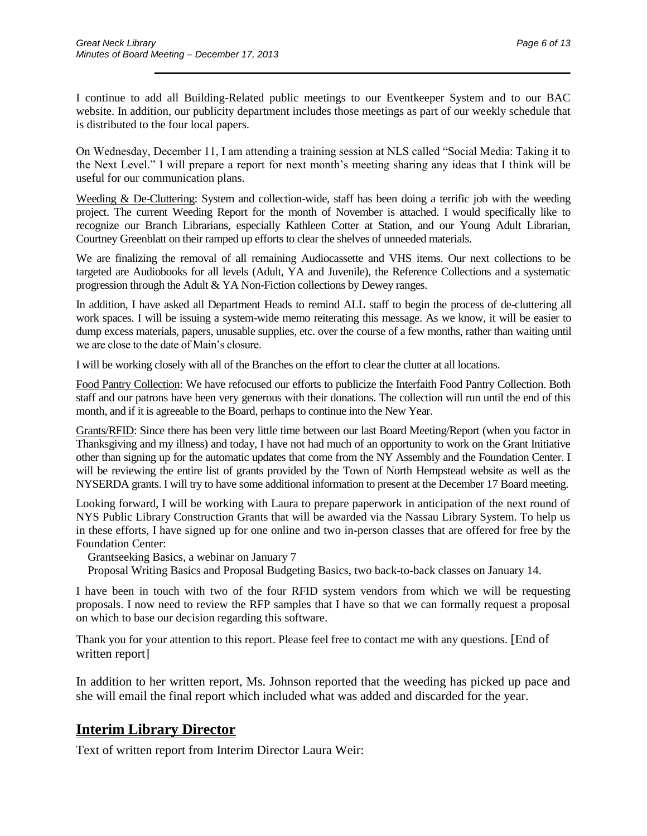I continue to add all Building-Related public meetings to our Eventkeeper System and to our BAC website. In addition, our publicity department includes those meetings as part of our weekly schedule that is distributed to the four local papers.

 $\overline{\phantom{a}}$  , and the contract of the contract of the contract of the contract of the contract of the contract of the contract of the contract of the contract of the contract of the contract of the contract of the contrac

On Wednesday, December 11, I am attending a training session at NLS called "Social Media: Taking it to the Next Level." I will prepare a report for next month's meeting sharing any ideas that I think will be useful for our communication plans.

Weeding & De-Cluttering: System and collection-wide, staff has been doing a terrific job with the weeding project. The current Weeding Report for the month of November is attached. I would specifically like to recognize our Branch Librarians, especially Kathleen Cotter at Station, and our Young Adult Librarian, Courtney Greenblatt on their ramped up efforts to clear the shelves of unneeded materials.

We are finalizing the removal of all remaining Audiocassette and VHS items. Our next collections to be targeted are Audiobooks for all levels (Adult, YA and Juvenile), the Reference Collections and a systematic progression through the Adult & YA Non-Fiction collections by Dewey ranges.

In addition, I have asked all Department Heads to remind ALL staff to begin the process of de-cluttering all work spaces. I will be issuing a system-wide memo reiterating this message. As we know, it will be easier to dump excess materials, papers, unusable supplies, etc. over the course of a few months, rather than waiting until we are close to the date of Main's closure.

I will be working closely with all of the Branches on the effort to clear the clutter at all locations.

Food Pantry Collection: We have refocused our efforts to publicize the Interfaith Food Pantry Collection. Both staff and our patrons have been very generous with their donations. The collection will run until the end of this month, and if it is agreeable to the Board, perhaps to continue into the New Year.

Grants/RFID: Since there has been very little time between our last Board Meeting/Report (when you factor in Thanksgiving and my illness) and today, I have not had much of an opportunity to work on the Grant Initiative other than signing up for the automatic updates that come from the NY Assembly and the Foundation Center. I will be reviewing the entire list of grants provided by the Town of North Hempstead website as well as the NYSERDA grants. I will try to have some additional information to present at the December 17 Board meeting.

Looking forward, I will be working with Laura to prepare paperwork in anticipation of the next round of NYS Public Library Construction Grants that will be awarded via the Nassau Library System. To help us in these efforts, I have signed up for one online and two in-person classes that are offered for free by the Foundation Center:

Grantseeking Basics, a webinar on January 7

Proposal Writing Basics and Proposal Budgeting Basics, two back-to-back classes on January 14.

I have been in touch with two of the four RFID system vendors from which we will be requesting proposals. I now need to review the RFP samples that I have so that we can formally request a proposal on which to base our decision regarding this software.

Thank you for your attention to this report. Please feel free to contact me with any questions. [End of written report]

In addition to her written report, Ms. Johnson reported that the weeding has picked up pace and she will email the final report which included what was added and discarded for the year.

## **Interim Library Director**

Text of written report from Interim Director Laura Weir: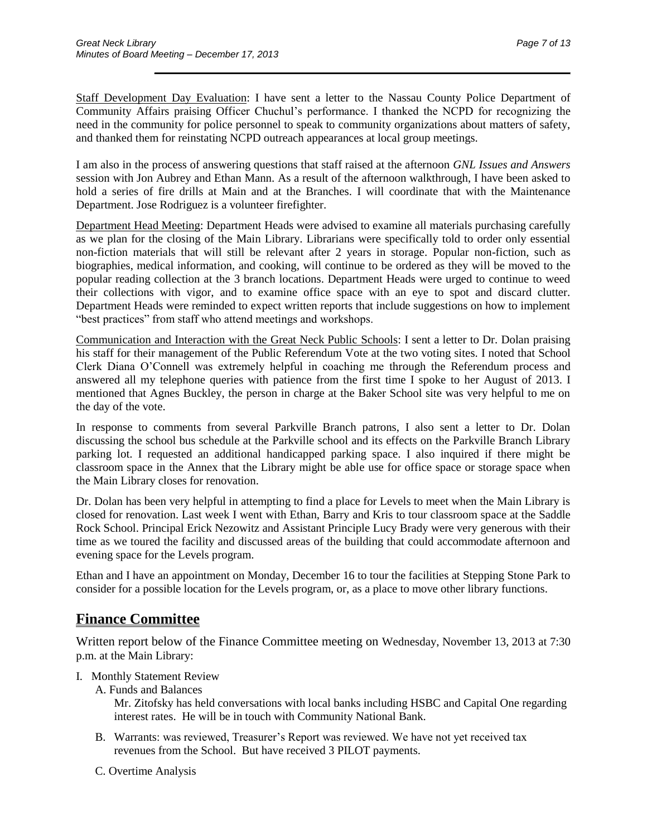Staff Development Day Evaluation: I have sent a letter to the Nassau County Police Department of Community Affairs praising Officer Chuchul's performance. I thanked the NCPD for recognizing the need in the community for police personnel to speak to community organizations about matters of safety, and thanked them for reinstating NCPD outreach appearances at local group meetings.

 $\overline{\phantom{a}}$  , and the contract of the contract of the contract of the contract of the contract of the contract of the contract of the contract of the contract of the contract of the contract of the contract of the contrac

I am also in the process of answering questions that staff raised at the afternoon *GNL Issues and Answers* session with Jon Aubrey and Ethan Mann. As a result of the afternoon walkthrough, I have been asked to hold a series of fire drills at Main and at the Branches. I will coordinate that with the Maintenance Department. Jose Rodriguez is a volunteer firefighter.

Department Head Meeting: Department Heads were advised to examine all materials purchasing carefully as we plan for the closing of the Main Library. Librarians were specifically told to order only essential non-fiction materials that will still be relevant after 2 years in storage. Popular non-fiction, such as biographies, medical information, and cooking, will continue to be ordered as they will be moved to the popular reading collection at the 3 branch locations. Department Heads were urged to continue to weed their collections with vigor, and to examine office space with an eye to spot and discard clutter. Department Heads were reminded to expect written reports that include suggestions on how to implement "best practices" from staff who attend meetings and workshops.

Communication and Interaction with the Great Neck Public Schools: I sent a letter to Dr. Dolan praising his staff for their management of the Public Referendum Vote at the two voting sites. I noted that School Clerk Diana O'Connell was extremely helpful in coaching me through the Referendum process and answered all my telephone queries with patience from the first time I spoke to her August of 2013. I mentioned that Agnes Buckley, the person in charge at the Baker School site was very helpful to me on the day of the vote.

In response to comments from several Parkville Branch patrons, I also sent a letter to Dr. Dolan discussing the school bus schedule at the Parkville school and its effects on the Parkville Branch Library parking lot. I requested an additional handicapped parking space. I also inquired if there might be classroom space in the Annex that the Library might be able use for office space or storage space when the Main Library closes for renovation.

Dr. Dolan has been very helpful in attempting to find a place for Levels to meet when the Main Library is closed for renovation. Last week I went with Ethan, Barry and Kris to tour classroom space at the Saddle Rock School. Principal Erick Nezowitz and Assistant Principle Lucy Brady were very generous with their time as we toured the facility and discussed areas of the building that could accommodate afternoon and evening space for the Levels program.

Ethan and I have an appointment on Monday, December 16 to tour the facilities at Stepping Stone Park to consider for a possible location for the Levels program, or, as a place to move other library functions.

## **Finance Committee**

Written report below of the Finance Committee meeting on Wednesday, November 13, 2013 at 7:30 p.m. at the Main Library:

- I. Monthly Statement Review
	- A. Funds and Balances

Mr. Zitofsky has held conversations with local banks including HSBC and Capital One regarding interest rates. He will be in touch with Community National Bank.

- B. Warrants: was reviewed, Treasurer's Report was reviewed. We have not yet received tax revenues from the School. But have received 3 PILOT payments.
- C. Overtime Analysis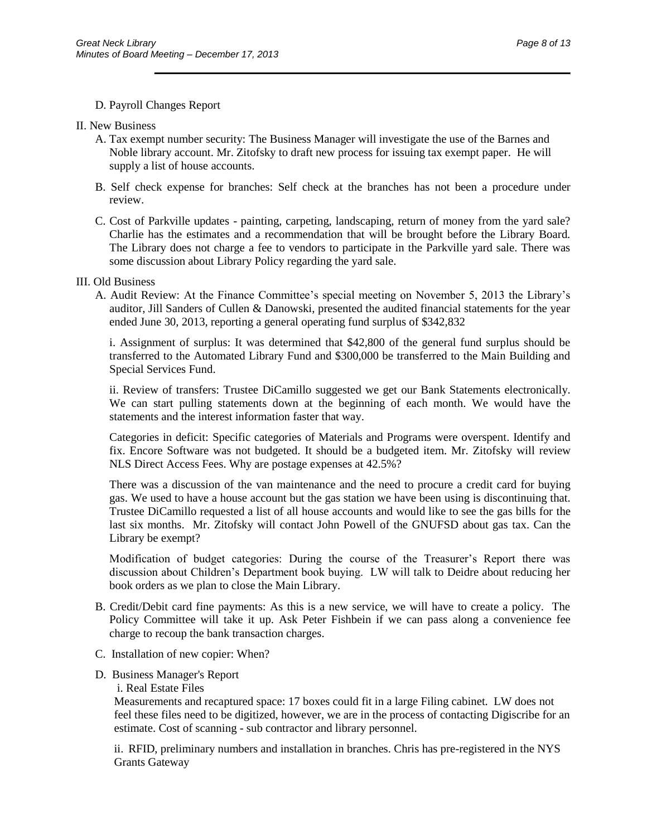#### D. Payroll Changes Report

#### II. New Business

- A. Tax exempt number security: The Business Manager will investigate the use of the Barnes and Noble library account. Mr. Zitofsky to draft new process for issuing tax exempt paper. He will supply a list of house accounts.
- B. Self check expense for branches: Self check at the branches has not been a procedure under review.

 $\overline{\phantom{a}}$  , and the contract of the contract of the contract of the contract of the contract of the contract of the contract of the contract of the contract of the contract of the contract of the contract of the contrac

C. Cost of Parkville updates - painting, carpeting, landscaping, return of money from the yard sale? Charlie has the estimates and a recommendation that will be brought before the Library Board. The Library does not charge a fee to vendors to participate in the Parkville yard sale. There was some discussion about Library Policy regarding the yard sale.

#### III. Old Business

A. Audit Review: At the Finance Committee's special meeting on November 5, 2013 the Library's auditor, Jill Sanders of Cullen & Danowski, presented the audited financial statements for the year ended June 30, 2013, reporting a general operating fund surplus of \$342,832

i. Assignment of surplus: It was determined that \$42,800 of the general fund surplus should be transferred to the Automated Library Fund and \$300,000 be transferred to the Main Building and Special Services Fund.

ii. Review of transfers: Trustee DiCamillo suggested we get our Bank Statements electronically. We can start pulling statements down at the beginning of each month. We would have the statements and the interest information faster that way.

Categories in deficit: Specific categories of Materials and Programs were overspent. Identify and fix. Encore Software was not budgeted. It should be a budgeted item. Mr. Zitofsky will review NLS Direct Access Fees. Why are postage expenses at 42.5%?

There was a discussion of the van maintenance and the need to procure a credit card for buying gas. We used to have a house account but the gas station we have been using is discontinuing that. Trustee DiCamillo requested a list of all house accounts and would like to see the gas bills for the last six months. Mr. Zitofsky will contact John Powell of the GNUFSD about gas tax. Can the Library be exempt?

Modification of budget categories: During the course of the Treasurer's Report there was discussion about Children's Department book buying. LW will talk to Deidre about reducing her book orders as we plan to close the Main Library.

- B. Credit/Debit card fine payments: As this is a new service, we will have to create a policy. The Policy Committee will take it up. Ask Peter Fishbein if we can pass along a convenience fee charge to recoup the bank transaction charges.
- C. Installation of new copier: When?
- D. Business Manager's Report
	- i. Real Estate Files

Measurements and recaptured space: 17 boxes could fit in a large Filing cabinet. LW does not feel these files need to be digitized, however, we are in the process of contacting Digiscribe for an estimate. Cost of scanning - sub contractor and library personnel. Ī

ii. RFID, preliminary numbers and installation in branches. Chris has pre-registered in the NYS Grants Gateway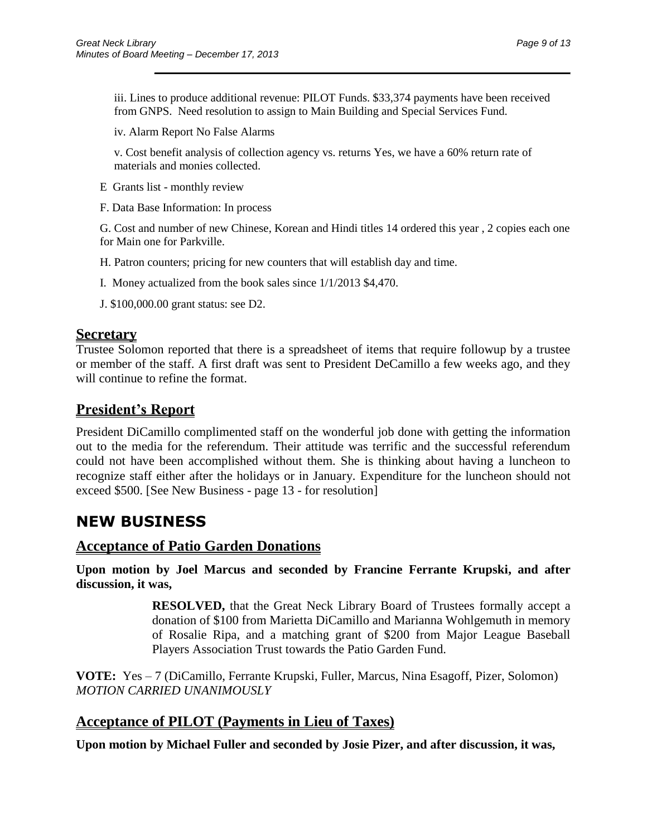iii. Lines to produce additional revenue: PILOT Funds. \$33,374 payments have been received from GNPS. Need resolution to assign to Main Building and Special Services Fund.

 $\overline{\phantom{a}}$  , and the contract of the contract of the contract of the contract of the contract of the contract of the contract of the contract of the contract of the contract of the contract of the contract of the contrac

iv. Alarm Report No False Alarms

v. Cost benefit analysis of collection agency vs. returns Yes, we have a 60% return rate of materials and monies collected.

- E Grants list monthly review
- F. Data Base Information: In process

G. Cost and number of new Chinese, Korean and Hindi titles 14 ordered this year , 2 copies each one for Main one for Parkville.

H. Patron counters; pricing for new counters that will establish day and time.

- I. Money actualized from the book sales since 1/1/2013 \$4,470.
- J. \$100,000.00 grant status: see D2.

### **Secretary**

Trustee Solomon reported that there is a spreadsheet of items that require followup by a trustee or member of the staff. A first draft was sent to President DeCamillo a few weeks ago, and they will continue to refine the format.

## **President's Report**

President DiCamillo complimented staff on the wonderful job done with getting the information out to the media for the referendum. Their attitude was terrific and the successful referendum could not have been accomplished without them. She is thinking about having a luncheon to recognize staff either after the holidays or in January. Expenditure for the luncheon should not exceed \$500. [See New Business - page 13 - for resolution]

## **NEW BUSINESS**

### **Acceptance of Patio Garden Donations**

**Upon motion by Joel Marcus and seconded by Francine Ferrante Krupski, and after discussion, it was,**

> **RESOLVED,** that the Great Neck Library Board of Trustees formally accept a donation of \$100 from Marietta DiCamillo and Marianna Wohlgemuth in memory of Rosalie Ripa, and a matching grant of \$200 from Major League Baseball Players Association Trust towards the Patio Garden Fund.

**VOTE:** Yes – 7 (DiCamillo, Ferrante Krupski, Fuller, Marcus, Nina Esagoff, Pizer, Solomon) *MOTION CARRIED UNANIMOUSLY*

## **Acceptance of PILOT (Payments in Lieu of Taxes)**

**Upon motion by Michael Fuller and seconded by Josie Pizer, and after discussion, it was,**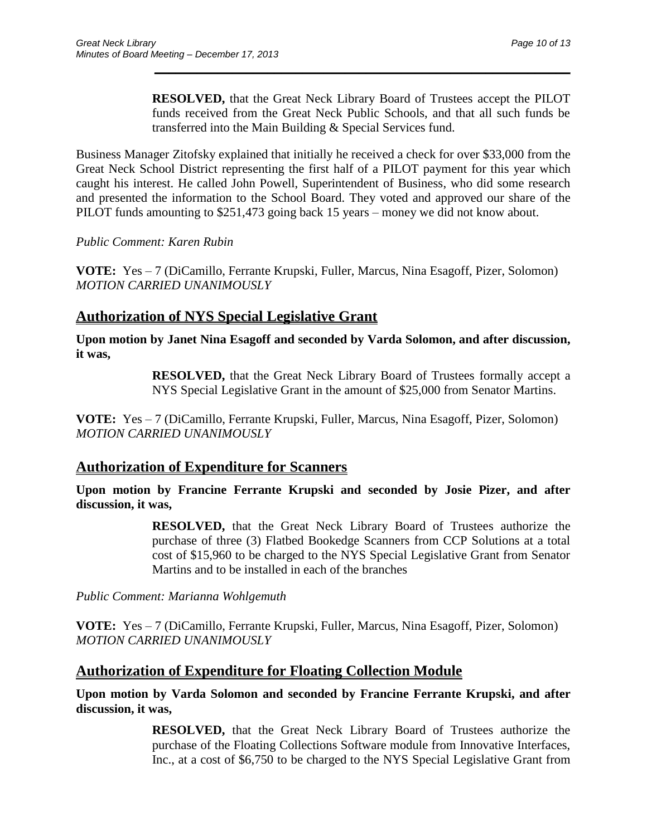**RESOLVED,** that the Great Neck Library Board of Trustees accept the PILOT funds received from the Great Neck Public Schools, and that all such funds be transferred into the Main Building & Special Services fund.

 $\overline{\phantom{a}}$  , and the contract of the contract of the contract of the contract of the contract of the contract of the contract of the contract of the contract of the contract of the contract of the contract of the contrac

Business Manager Zitofsky explained that initially he received a check for over \$33,000 from the Great Neck School District representing the first half of a PILOT payment for this year which caught his interest. He called John Powell, Superintendent of Business, who did some research and presented the information to the School Board. They voted and approved our share of the PILOT funds amounting to \$251,473 going back 15 years – money we did not know about.

*Public Comment: Karen Rubin*

**VOTE:** Yes – 7 (DiCamillo, Ferrante Krupski, Fuller, Marcus, Nina Esagoff, Pizer, Solomon) *MOTION CARRIED UNANIMOUSLY*

## **Authorization of NYS Special Legislative Grant**

**Upon motion by Janet Nina Esagoff and seconded by Varda Solomon, and after discussion, it was,**

> **RESOLVED,** that the Great Neck Library Board of Trustees formally accept a NYS Special Legislative Grant in the amount of \$25,000 from Senator Martins.

**VOTE:** Yes – 7 (DiCamillo, Ferrante Krupski, Fuller, Marcus, Nina Esagoff, Pizer, Solomon) *MOTION CARRIED UNANIMOUSLY*

## **Authorization of Expenditure for Scanners**

**Upon motion by Francine Ferrante Krupski and seconded by Josie Pizer, and after discussion, it was,**

> **RESOLVED,** that the Great Neck Library Board of Trustees authorize the purchase of three (3) Flatbed Bookedge Scanners from CCP Solutions at a total cost of \$15,960 to be charged to the NYS Special Legislative Grant from Senator Martins and to be installed in each of the branches

*Public Comment: Marianna Wohlgemuth*

**VOTE:** Yes – 7 (DiCamillo, Ferrante Krupski, Fuller, Marcus, Nina Esagoff, Pizer, Solomon) *MOTION CARRIED UNANIMOUSLY*

## **Authorization of Expenditure for Floating Collection Module**

**Upon motion by Varda Solomon and seconded by Francine Ferrante Krupski, and after discussion, it was,**

> **RESOLVED,** that the Great Neck Library Board of Trustees authorize the purchase of the Floating Collections Software module from Innovative Interfaces, Inc., at a cost of \$6,750 to be charged to the NYS Special Legislative Grant from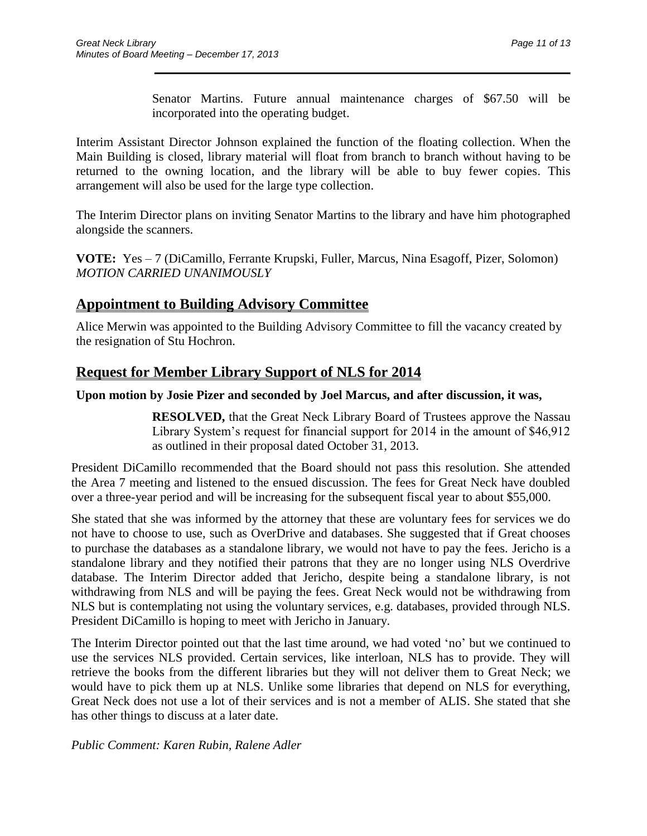Senator Martins. Future annual maintenance charges of \$67.50 will be incorporated into the operating budget.

 $\overline{\phantom{a}}$  , and the contract of the contract of the contract of the contract of the contract of the contract of the contract of the contract of the contract of the contract of the contract of the contract of the contrac

Interim Assistant Director Johnson explained the function of the floating collection. When the Main Building is closed, library material will float from branch to branch without having to be returned to the owning location, and the library will be able to buy fewer copies. This arrangement will also be used for the large type collection.

The Interim Director plans on inviting Senator Martins to the library and have him photographed alongside the scanners.

**VOTE:** Yes – 7 (DiCamillo, Ferrante Krupski, Fuller, Marcus, Nina Esagoff, Pizer, Solomon) *MOTION CARRIED UNANIMOUSLY*

## **Appointment to Building Advisory Committee**

Alice Merwin was appointed to the Building Advisory Committee to fill the vacancy created by the resignation of Stu Hochron.

## **Request for Member Library Support of NLS for 2014**

## **Upon motion by Josie Pizer and seconded by Joel Marcus, and after discussion, it was,**

**RESOLVED,** that the Great Neck Library Board of Trustees approve the Nassau Library System's request for financial support for 2014 in the amount of \$46,912 as outlined in their proposal dated October 31, 2013.

President DiCamillo recommended that the Board should not pass this resolution. She attended the Area 7 meeting and listened to the ensued discussion. The fees for Great Neck have doubled over a three-year period and will be increasing for the subsequent fiscal year to about \$55,000.

She stated that she was informed by the attorney that these are voluntary fees for services we do not have to choose to use, such as OverDrive and databases. She suggested that if Great chooses to purchase the databases as a standalone library, we would not have to pay the fees. Jericho is a standalone library and they notified their patrons that they are no longer using NLS Overdrive database. The Interim Director added that Jericho, despite being a standalone library, is not withdrawing from NLS and will be paying the fees. Great Neck would not be withdrawing from NLS but is contemplating not using the voluntary services, e.g. databases, provided through NLS. President DiCamillo is hoping to meet with Jericho in January.

The Interim Director pointed out that the last time around, we had voted 'no' but we continued to use the services NLS provided. Certain services, like interloan, NLS has to provide. They will retrieve the books from the different libraries but they will not deliver them to Great Neck; we would have to pick them up at NLS. Unlike some libraries that depend on NLS for everything, Great Neck does not use a lot of their services and is not a member of ALIS. She stated that she has other things to discuss at a later date.

*Public Comment: Karen Rubin, Ralene Adler*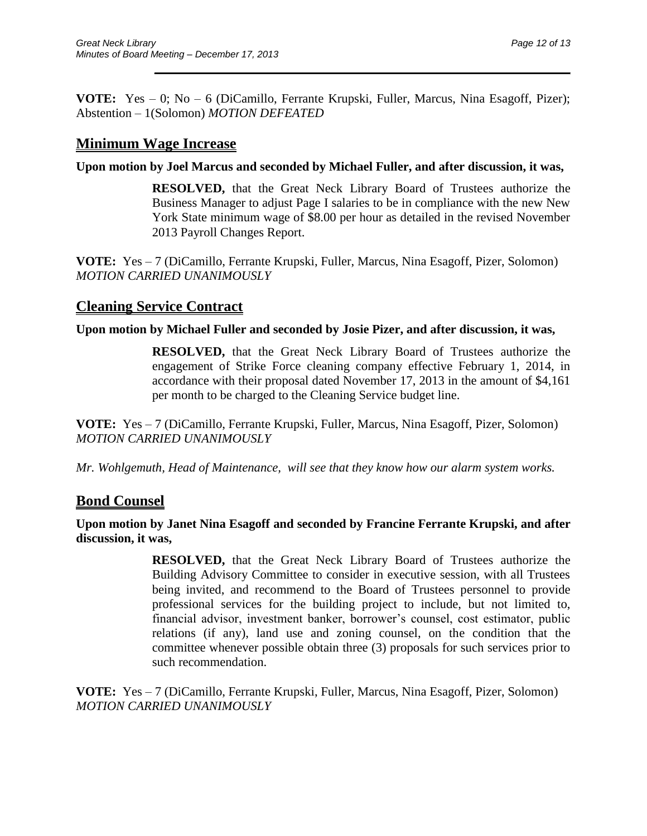**VOTE:** Yes – 0; No – 6 (DiCamillo, Ferrante Krupski, Fuller, Marcus, Nina Esagoff, Pizer); Abstention – 1(Solomon) *MOTION DEFEATED*

## **Minimum Wage Increase**

**Upon motion by Joel Marcus and seconded by Michael Fuller, and after discussion, it was,**

**RESOLVED,** that the Great Neck Library Board of Trustees authorize the Business Manager to adjust Page I salaries to be in compliance with the new New York State minimum wage of \$8.00 per hour as detailed in the revised November 2013 Payroll Changes Report.

 $\overline{\phantom{a}}$  , and the contract of the contract of the contract of the contract of the contract of the contract of the contract of the contract of the contract of the contract of the contract of the contract of the contrac

**VOTE:** Yes – 7 (DiCamillo, Ferrante Krupski, Fuller, Marcus, Nina Esagoff, Pizer, Solomon) *MOTION CARRIED UNANIMOUSLY*

## **Cleaning Service Contract**

### **Upon motion by Michael Fuller and seconded by Josie Pizer, and after discussion, it was,**

**RESOLVED,** that the Great Neck Library Board of Trustees authorize the engagement of Strike Force cleaning company effective February 1, 2014, in accordance with their proposal dated November 17, 2013 in the amount of \$4,161 per month to be charged to the Cleaning Service budget line.

**VOTE:** Yes – 7 (DiCamillo, Ferrante Krupski, Fuller, Marcus, Nina Esagoff, Pizer, Solomon) *MOTION CARRIED UNANIMOUSLY*

*Mr. Wohlgemuth, Head of Maintenance, will see that they know how our alarm system works.*

## **Bond Counsel**

### **Upon motion by Janet Nina Esagoff and seconded by Francine Ferrante Krupski, and after discussion, it was,**

**RESOLVED,** that the Great Neck Library Board of Trustees authorize the Building Advisory Committee to consider in executive session, with all Trustees being invited, and recommend to the Board of Trustees personnel to provide professional services for the building project to include, but not limited to, financial advisor, investment banker, borrower's counsel, cost estimator, public relations (if any), land use and zoning counsel, on the condition that the committee whenever possible obtain three (3) proposals for such services prior to such recommendation.

**VOTE:** Yes – 7 (DiCamillo, Ferrante Krupski, Fuller, Marcus, Nina Esagoff, Pizer, Solomon) *MOTION CARRIED UNANIMOUSLY*